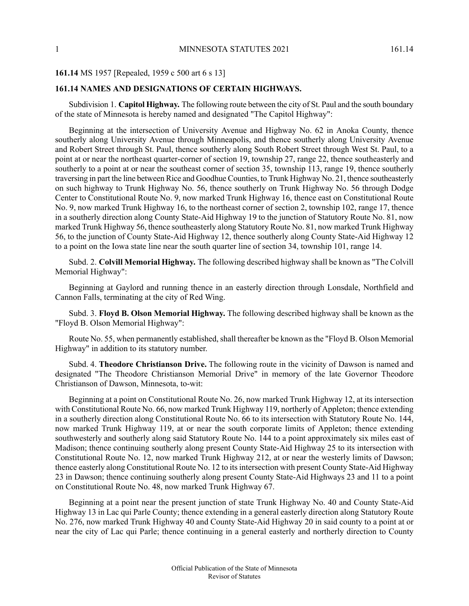## **161.14** MS 1957 [Repealed, 1959 c 500 art 6 s 13]

## **161.14 NAMES AND DESIGNATIONS OF CERTAIN HIGHWAYS.**

Subdivision 1. **Capitol Highway.** The following route between the city of St. Paul and the south boundary of the state of Minnesota is hereby named and designated "The Capitol Highway":

Beginning at the intersection of University Avenue and Highway No. 62 in Anoka County, thence southerly along University Avenue through Minneapolis, and thence southerly along University Avenue and Robert Street through St. Paul, thence southerly along South Robert Street through West St. Paul, to a point at or near the northeast quarter-corner of section 19, township 27, range 22, thence southeasterly and southerly to a point at or near the southeast corner of section 35, township 113, range 19, thence southerly traversing in part the line between Rice and Goodhue Counties, to Trunk Highway No. 21, thence southeasterly on such highway to Trunk Highway No. 56, thence southerly on Trunk Highway No. 56 through Dodge Center to Constitutional Route No. 9, now marked Trunk Highway 16, thence east on Constitutional Route No. 9, now marked Trunk Highway 16, to the northeast corner of section 2, township 102, range 17, thence in a southerly direction along County State-Aid Highway 19 to the junction of Statutory Route No. 81, now marked Trunk Highway 56, thence southeasterly along Statutory Route No. 81, now marked Trunk Highway 56, to the junction of County State-Aid Highway 12, thence southerly along County State-Aid Highway 12 to a point on the Iowa state line near the south quarter line of section 34, township 101, range 14.

Subd. 2. **Colvill Memorial Highway.** The following described highway shall be known as "The Colvill Memorial Highway":

Beginning at Gaylord and running thence in an easterly direction through Lonsdale, Northfield and Cannon Falls, terminating at the city of Red Wing.

Subd. 3. **Floyd B. Olson Memorial Highway.** The following described highway shall be known as the "Floyd B. Olson Memorial Highway":

Route No. 55, when permanently established, shall thereafter be known as the "Floyd B. Olson Memorial Highway" in addition to its statutory number.

Subd. 4. **Theodore Christianson Drive.** The following route in the vicinity of Dawson is named and designated "The Theodore Christianson Memorial Drive" in memory of the late Governor Theodore Christianson of Dawson, Minnesota, to-wit:

Beginning at a point on Constitutional Route No. 26, now marked Trunk Highway 12, at its intersection with Constitutional Route No. 66, now marked Trunk Highway 119, northerly of Appleton; thence extending in a southerly direction along Constitutional Route No. 66 to its intersection with Statutory Route No. 144, now marked Trunk Highway 119, at or near the south corporate limits of Appleton; thence extending southwesterly and southerly along said Statutory Route No. 144 to a point approximately six miles east of Madison; thence continuing southerly along present County State-Aid Highway 25 to its intersection with Constitutional Route No. 12, now marked Trunk Highway 212, at or near the westerly limits of Dawson; thence easterly along Constitutional Route No. 12 to itsintersection with present County State-Aid Highway 23 in Dawson; thence continuing southerly along present County State-Aid Highways 23 and 11 to a point on Constitutional Route No. 48, now marked Trunk Highway 67.

Beginning at a point near the present junction of state Trunk Highway No. 40 and County State-Aid Highway 13 in Lac qui Parle County; thence extending in a general easterly direction along Statutory Route No. 276, now marked Trunk Highway 40 and County State-Aid Highway 20 in said county to a point at or near the city of Lac qui Parle; thence continuing in a general easterly and northerly direction to County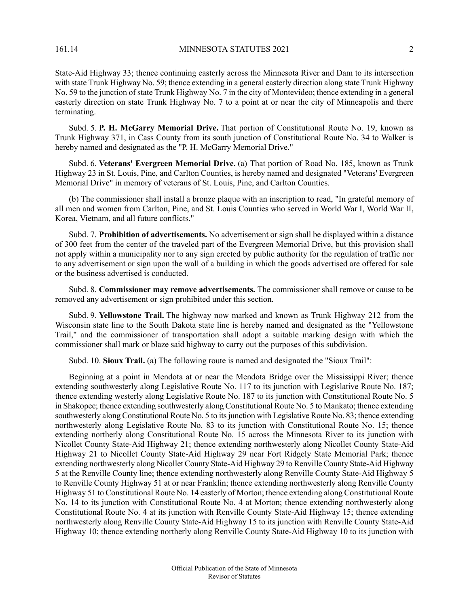161.14 MINNESOTA STATUTES 2021 2

State-Aid Highway 33; thence continuing easterly across the Minnesota River and Dam to its intersection with state Trunk Highway No. 59; thence extending in a general easterly direction along state Trunk Highway No. 59 to the junction of state Trunk Highway No. 7 in the city of Montevideo; thence extending in a general easterly direction on state Trunk Highway No. 7 to a point at or near the city of Minneapolis and there terminating.

Subd. 5. **P. H. McGarry Memorial Drive.** That portion of Constitutional Route No. 19, known as Trunk Highway 371, in Cass County from its south junction of Constitutional Route No. 34 to Walker is hereby named and designated as the "P. H. McGarry Memorial Drive."

Subd. 6. **Veterans' Evergreen Memorial Drive.** (a) That portion of Road No. 185, known as Trunk Highway 23 in St. Louis, Pine, and Carlton Counties, is hereby named and designated "Veterans' Evergreen Memorial Drive" in memory of veterans of St. Louis, Pine, and Carlton Counties.

(b) The commissioner shall install a bronze plaque with an inscription to read, "In grateful memory of all men and women from Carlton, Pine, and St. Louis Counties who served in World War I, World War II, Korea, Vietnam, and all future conflicts."

Subd. 7. **Prohibition of advertisements.** No advertisement or sign shall be displayed within a distance of 300 feet from the center of the traveled part of the Evergreen Memorial Drive, but this provision shall not apply within a municipality nor to any sign erected by public authority for the regulation of traffic nor to any advertisement or sign upon the wall of a building in which the goods advertised are offered for sale or the business advertised is conducted.

Subd. 8. **Commissioner may remove advertisements.** The commissioner shall remove or cause to be removed any advertisement or sign prohibited under this section.

Subd. 9. **Yellowstone Trail.** The highway now marked and known as Trunk Highway 212 from the Wisconsin state line to the South Dakota state line is hereby named and designated as the "Yellowstone Trail," and the commissioner of transportation shall adopt a suitable marking design with which the commissioner shall mark or blaze said highway to carry out the purposes of this subdivision.

Subd. 10. **Sioux Trail.** (a) The following route is named and designated the "Sioux Trail":

Beginning at a point in Mendota at or near the Mendota Bridge over the Mississippi River; thence extending southwesterly along Legislative Route No. 117 to its junction with Legislative Route No. 187; thence extending westerly along Legislative Route No. 187 to its junction with Constitutional Route No. 5 in Shakopee; thence extending southwesterly along Constitutional Route No. 5 to Mankato; thence extending southwesterly along Constitutional Route No. 5 to its junction with Legislative Route No. 83; thence extending northwesterly along Legislative Route No. 83 to its junction with Constitutional Route No. 15; thence extending northerly along Constitutional Route No. 15 across the Minnesota River to its junction with Nicollet County State-Aid Highway 21; thence extending northwesterly along Nicollet County State-Aid Highway 21 to Nicollet County State-Aid Highway 29 near Fort Ridgely State Memorial Park; thence extending northwesterly along Nicollet County State-Aid Highway 29 to Renville County State-Aid Highway 5 at the Renville County line; thence extending northwesterly along Renville County State-Aid Highway 5 to Renville County Highway 51 at or near Franklin; thence extending northwesterly along Renville County Highway 51 to Constitutional Route No. 14 easterly of Morton; thence extending along Constitutional Route No. 14 to its junction with Constitutional Route No. 4 at Morton; thence extending northwesterly along Constitutional Route No. 4 at its junction with Renville County State-Aid Highway 15; thence extending northwesterly along Renville County State-Aid Highway 15 to its junction with Renville County State-Aid Highway 10; thence extending northerly along Renville County State-Aid Highway 10 to its junction with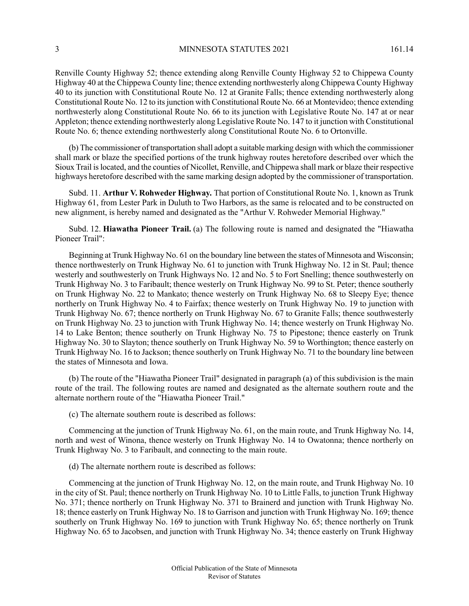3 MINNESOTA STATUTES 2021 161.14

Renville County Highway 52; thence extending along Renville County Highway 52 to Chippewa County Highway 40 at the Chippewa County line; thence extending northwesterly along Chippewa County Highway 40 to its junction with Constitutional Route No. 12 at Granite Falls; thence extending northwesterly along Constitutional Route No. 12 to itsjunction with Constitutional Route No. 66 at Montevideo; thence extending northwesterly along Constitutional Route No. 66 to its junction with Legislative Route No. 147 at or near Appleton; thence extending northwesterly along Legislative Route No. 147 to it junction with Constitutional Route No. 6; thence extending northwesterly along Constitutional Route No. 6 to Ortonville.

(b) The commissioner of transportation shall adopt a suitable marking design with which the commissioner shall mark or blaze the specified portions of the trunk highway routes heretofore described over which the Sioux Trail islocated, and the counties of Nicollet, Renville, and Chippewa shall mark or blaze their respective highways heretofore described with the same marking design adopted by the commissioner of transportation.

Subd. 11. **Arthur V. Rohweder Highway.** That portion of Constitutional Route No. 1, known as Trunk Highway 61, from Lester Park in Duluth to Two Harbors, as the same is relocated and to be constructed on new alignment, is hereby named and designated as the "Arthur V. Rohweder Memorial Highway."

Subd. 12. **Hiawatha Pioneer Trail.** (a) The following route is named and designated the "Hiawatha Pioneer Trail":

Beginning at Trunk Highway No. 61 on the boundary line between the states of Minnesota and Wisconsin; thence northwesterly on Trunk Highway No. 61 to junction with Trunk Highway No. 12 in St. Paul; thence westerly and southwesterly on Trunk Highways No. 12 and No. 5 to Fort Snelling; thence southwesterly on Trunk Highway No. 3 to Faribault; thence westerly on Trunk Highway No. 99 to St. Peter; thence southerly on Trunk Highway No. 22 to Mankato; thence westerly on Trunk Highway No. 68 to Sleepy Eye; thence northerly on Trunk Highway No. 4 to Fairfax; thence westerly on Trunk Highway No. 19 to junction with Trunk Highway No. 67; thence northerly on Trunk Highway No. 67 to Granite Falls; thence southwesterly on Trunk Highway No. 23 to junction with Trunk Highway No. 14; thence westerly on Trunk Highway No. 14 to Lake Benton; thence southerly on Trunk Highway No. 75 to Pipestone; thence easterly on Trunk Highway No. 30 to Slayton; thence southerly on Trunk Highway No. 59 to Worthington; thence easterly on Trunk Highway No. 16 to Jackson; thence southerly on Trunk Highway No. 71 to the boundary line between the states of Minnesota and Iowa.

(b) The route of the "Hiawatha Pioneer Trail" designated in paragraph (a) of this subdivision is the main route of the trail. The following routes are named and designated as the alternate southern route and the alternate northern route of the "Hiawatha Pioneer Trail."

(c) The alternate southern route is described as follows:

Commencing at the junction of Trunk Highway No. 61, on the main route, and Trunk Highway No. 14, north and west of Winona, thence westerly on Trunk Highway No. 14 to Owatonna; thence northerly on Trunk Highway No. 3 to Faribault, and connecting to the main route.

(d) The alternate northern route is described as follows:

Commencing at the junction of Trunk Highway No. 12, on the main route, and Trunk Highway No. 10 in the city of St. Paul; thence northerly on Trunk Highway No. 10 to Little Falls, to junction Trunk Highway No. 371; thence northerly on Trunk Highway No. 371 to Brainerd and junction with Trunk Highway No. 18; thence easterly on Trunk Highway No. 18 to Garrison and junction with Trunk Highway No. 169; thence southerly on Trunk Highway No. 169 to junction with Trunk Highway No. 65; thence northerly on Trunk Highway No. 65 to Jacobsen, and junction with Trunk Highway No. 34; thence easterly on Trunk Highway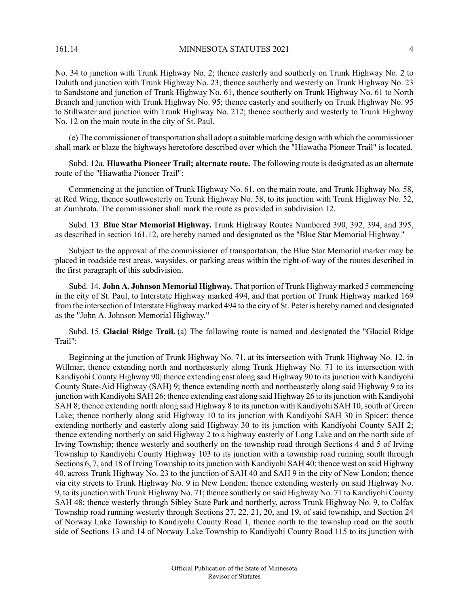No. 34 to junction with Trunk Highway No. 2; thence easterly and southerly on Trunk Highway No. 2 to Duluth and junction with Trunk Highway No. 23; thence southerly and westerly on Trunk Highway No. 23 to Sandstone and junction of Trunk Highway No. 61, thence southerly on Trunk Highway No. 61 to North Branch and junction with Trunk Highway No. 95; thence easterly and southerly on Trunk Highway No. 95 to Stillwater and junction with Trunk Highway No. 212; thence southerly and westerly to Trunk Highway No. 12 on the main route in the city of St. Paul.

(e) The commissioner of transportation shall adopt a suitable marking design with which the commissioner shall mark or blaze the highways heretofore described over which the "Hiawatha Pioneer Trail" is located.

Subd. 12a. **Hiawatha Pioneer Trail; alternate route.** The following route is designated as an alternate route of the "Hiawatha Pioneer Trail":

Commencing at the junction of Trunk Highway No. 61, on the main route, and Trunk Highway No. 58, at Red Wing, thence southwesterly on Trunk Highway No. 58, to its junction with Trunk Highway No. 52, at Zumbrota. The commissioner shall mark the route as provided in subdivision 12.

Subd. 13. **Blue Star Memorial Highway.** Trunk Highway Routes Numbered 390, 392, 394, and 395, as described in section 161.12, are hereby named and designated as the "Blue Star Memorial Highway."

Subject to the approval of the commissioner of transportation, the Blue Star Memorial marker may be placed in roadside rest areas, waysides, or parking areas within the right-of-way of the routes described in the first paragraph of this subdivision.

Subd. 14. **John A. Johnson Memorial Highway.** That portion of Trunk Highway marked 5 commencing in the city of St. Paul, to Interstate Highway marked 494, and that portion of Trunk Highway marked 169 from the intersection of Interstate Highway marked 494 to the city of St. Peter is hereby named and designated as the "John A. Johnson Memorial Highway."

Subd. 15. **Glacial Ridge Trail.** (a) The following route is named and designated the "Glacial Ridge Trail":

Beginning at the junction of Trunk Highway No. 71, at its intersection with Trunk Highway No. 12, in Willmar; thence extending north and northeasterly along Trunk Highway No. 71 to its intersection with Kandiyohi County Highway 90; thence extending east along said Highway 90 to itsjunction with Kandiyohi County State-Aid Highway (SAH) 9; thence extending north and northeasterly along said Highway 9 to its junction with Kandiyohi SAH 26; thence extending east along said Highway 26 to itsjunction with Kandiyohi SAH 8; thence extending north along said Highway 8 to its junction with Kandiyohi SAH 10, south of Green Lake; thence northerly along said Highway 10 to its junction with Kandiyohi SAH 30 in Spicer; thence extending northerly and easterly along said Highway 30 to its junction with Kandiyohi County SAH 2; thence extending northerly on said Highway 2 to a highway easterly of Long Lake and on the north side of Irving Township; thence westerly and southerly on the township road through Sections 4 and 5 of Irving Township to Kandiyohi County Highway 103 to its junction with a township road running south through Sections 6, 7, and 18 of Irving Township to its junction with Kandiyohi SAH 40; thence west on said Highway 40, across Trunk Highway No. 23 to the junction of SAH 40 and SAH 9 in the city of New London; thence via city streets to Trunk Highway No. 9 in New London; thence extending westerly on said Highway No. 9, to its junction with Trunk Highway No. 71; thence southerly on said Highway No. 71 to Kandiyohi County SAH 48; thence westerly through Sibley State Park and northerly, across Trunk Highway No. 9, to Colfax Township road running westerly through Sections 27, 22, 21, 20, and 19, of said township, and Section 24 of Norway Lake Township to Kandiyohi County Road 1, thence north to the township road on the south side of Sections 13 and 14 of Norway Lake Township to Kandiyohi County Road 115 to its junction with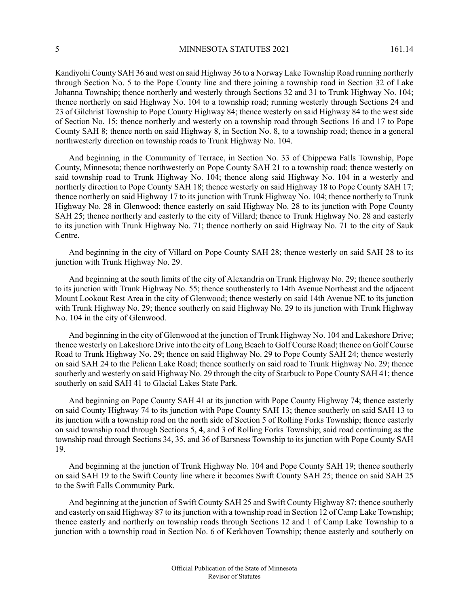Kandiyohi County SAH 36 and west on said Highway 36 to a Norway Lake Township Road running northerly through Section No. 5 to the Pope County line and there joining a township road in Section 32 of Lake Johanna Township; thence northerly and westerly through Sections 32 and 31 to Trunk Highway No. 104; thence northerly on said Highway No. 104 to a township road; running westerly through Sections 24 and 23 of Gilchrist Township to Pope County Highway 84; thence westerly on said Highway 84 to the west side of Section No. 15; thence northerly and westerly on a township road through Sections 16 and 17 to Pope County SAH 8; thence north on said Highway 8, in Section No. 8, to a township road; thence in a general northwesterly direction on township roads to Trunk Highway No. 104.

And beginning in the Community of Terrace, in Section No. 33 of Chippewa Falls Township, Pope County, Minnesota; thence northwesterly on Pope County SAH 21 to a township road; thence westerly on said township road to Trunk Highway No. 104; thence along said Highway No. 104 in a westerly and northerly direction to Pope County SAH 18; thence westerly on said Highway 18 to Pope County SAH 17; thence northerly on said Highway 17 to its junction with Trunk Highway No. 104; thence northerly to Trunk Highway No. 28 in Glenwood; thence easterly on said Highway No. 28 to its junction with Pope County SAH 25; thence northerly and easterly to the city of Villard; thence to Trunk Highway No. 28 and easterly to its junction with Trunk Highway No. 71; thence northerly on said Highway No. 71 to the city of Sauk Centre.

And beginning in the city of Villard on Pope County SAH 28; thence westerly on said SAH 28 to its junction with Trunk Highway No. 29.

And beginning at the south limits of the city of Alexandria on Trunk Highway No. 29; thence southerly to its junction with Trunk Highway No. 55; thence southeasterly to 14th Avenue Northeast and the adjacent Mount Lookout Rest Area in the city of Glenwood; thence westerly on said 14th Avenue NE to its junction with Trunk Highway No. 29; thence southerly on said Highway No. 29 to its junction with Trunk Highway No. 104 in the city of Glenwood.

And beginning in the city of Glenwood at the junction of Trunk Highway No. 104 and Lakeshore Drive; thence westerly on Lakeshore Drive into the city of Long Beach to Golf Course Road; thence on Golf Course Road to Trunk Highway No. 29; thence on said Highway No. 29 to Pope County SAH 24; thence westerly on said SAH 24 to the Pelican Lake Road; thence southerly on said road to Trunk Highway No. 29; thence southerly and westerly on said Highway No. 29 through the city of Starbuck to Pope County SAH 41; thence southerly on said SAH 41 to Glacial Lakes State Park.

And beginning on Pope County SAH 41 at its junction with Pope County Highway 74; thence easterly on said County Highway 74 to its junction with Pope County SAH 13; thence southerly on said SAH 13 to its junction with a township road on the north side of Section 5 of Rolling Forks Township; thence easterly on said township road through Sections 5, 4, and 3 of Rolling Forks Township; said road continuing as the township road through Sections 34, 35, and 36 of Barsness Township to its junction with Pope County SAH 19.

And beginning at the junction of Trunk Highway No. 104 and Pope County SAH 19; thence southerly on said SAH 19 to the Swift County line where it becomes Swift County SAH 25; thence on said SAH 25 to the Swift Falls Community Park.

And beginning at the junction of Swift County SAH 25 and Swift County Highway 87; thence southerly and easterly on said Highway 87 to its junction with a township road in Section 12 of Camp Lake Township; thence easterly and northerly on township roads through Sections 12 and 1 of Camp Lake Township to a junction with a township road in Section No. 6 of Kerkhoven Township; thence easterly and southerly on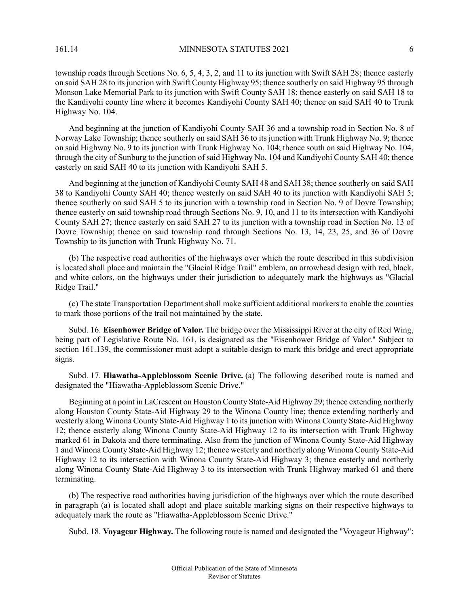township roads through Sections No. 6, 5, 4, 3, 2, and 11 to its junction with Swift SAH 28; thence easterly on said SAH 28 to itsjunction with Swift County Highway 95; thence southerly on said Highway 95 through Monson Lake Memorial Park to its junction with Swift County SAH 18; thence easterly on said SAH 18 to the Kandiyohi county line where it becomes Kandiyohi County SAH 40; thence on said SAH 40 to Trunk Highway No. 104.

And beginning at the junction of Kandiyohi County SAH 36 and a township road in Section No. 8 of Norway Lake Township; thence southerly on said SAH 36 to its junction with Trunk Highway No. 9; thence on said Highway No. 9 to its junction with Trunk Highway No. 104; thence south on said Highway No. 104, through the city of Sunburg to the junction of said Highway No. 104 and Kandiyohi County SAH 40; thence easterly on said SAH 40 to its junction with Kandiyohi SAH 5.

And beginning at the junction of Kandiyohi County SAH 48 and SAH 38; thence southerly on said SAH 38 to Kandiyohi County SAH 40; thence westerly on said SAH 40 to its junction with Kandiyohi SAH 5; thence southerly on said SAH 5 to its junction with a township road in Section No. 9 of Dovre Township; thence easterly on said township road through Sections No. 9, 10, and 11 to its intersection with Kandiyohi County SAH 27; thence easterly on said SAH 27 to its junction with a township road in Section No. 13 of Dovre Township; thence on said township road through Sections No. 13, 14, 23, 25, and 36 of Dovre Township to its junction with Trunk Highway No. 71.

(b) The respective road authorities of the highways over which the route described in this subdivision is located shall place and maintain the "Glacial Ridge Trail" emblem, an arrowhead design with red, black, and white colors, on the highways under their jurisdiction to adequately mark the highways as "Glacial Ridge Trail."

(c) The state Transportation Department shall make sufficient additional markers to enable the counties to mark those portions of the trail not maintained by the state.

Subd. 16. **Eisenhower Bridge of Valor.** The bridge over the Mississippi River at the city of Red Wing, being part of Legislative Route No. 161, is designated as the "Eisenhower Bridge of Valor." Subject to section 161.139, the commissioner must adopt a suitable design to mark this bridge and erect appropriate signs.

Subd. 17. **Hiawatha-Appleblossom Scenic Drive.** (a) The following described route is named and designated the "Hiawatha-Appleblossom Scenic Drive."

Beginning at a point in LaCrescent on Houston County State-Aid Highway 29; thence extending northerly along Houston County State-Aid Highway 29 to the Winona County line; thence extending northerly and westerly along Winona County State-Aid Highway 1 to its junction with Winona County State-Aid Highway 12; thence easterly along Winona County State-Aid Highway 12 to its intersection with Trunk Highway marked 61 in Dakota and there terminating. Also from the junction of Winona County State-Aid Highway 1 and Winona County State-Aid Highway 12; thence westerly and northerly along Winona County State-Aid Highway 12 to its intersection with Winona County State-Aid Highway 3; thence easterly and northerly along Winona County State-Aid Highway 3 to its intersection with Trunk Highway marked 61 and there terminating.

(b) The respective road authorities having jurisdiction of the highways over which the route described in paragraph (a) is located shall adopt and place suitable marking signs on their respective highways to adequately mark the route as "Hiawatha-Appleblossom Scenic Drive."

Subd. 18. **Voyageur Highway.** The following route is named and designated the "Voyageur Highway":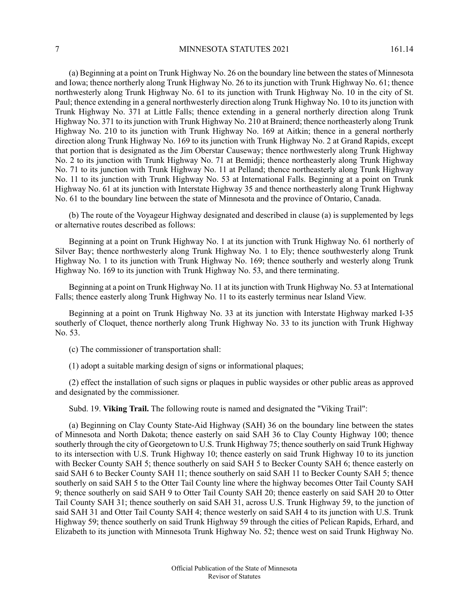(a) Beginning at a point on Trunk Highway No. 26 on the boundary line between the states of Minnesota and Iowa; thence northerly along Trunk Highway No. 26 to its junction with Trunk Highway No. 61; thence northwesterly along Trunk Highway No. 61 to its junction with Trunk Highway No. 10 in the city of St. Paul; thence extending in a general northwesterly direction along Trunk Highway No. 10 to its junction with Trunk Highway No. 371 at Little Falls; thence extending in a general northerly direction along Trunk Highway No. 371 to its junction with Trunk Highway No. 210 at Brainerd; thence northeasterly along Trunk Highway No. 210 to its junction with Trunk Highway No. 169 at Aitkin; thence in a general northerly direction along Trunk Highway No. 169 to its junction with Trunk Highway No. 2 at Grand Rapids, except that portion that is designated as the Jim Oberstar Causeway; thence northwesterly along Trunk Highway No. 2 to its junction with Trunk Highway No. 71 at Bemidji; thence northeasterly along Trunk Highway No. 71 to its junction with Trunk Highway No. 11 at Pelland; thence northeasterly along Trunk Highway No. 11 to its junction with Trunk Highway No. 53 at International Falls. Beginning at a point on Trunk Highway No. 61 at its junction with Interstate Highway 35 and thence northeasterly along Trunk Highway No. 61 to the boundary line between the state of Minnesota and the province of Ontario, Canada.

(b) The route of the Voyageur Highway designated and described in clause (a) is supplemented by legs or alternative routes described as follows:

Beginning at a point on Trunk Highway No. 1 at its junction with Trunk Highway No. 61 northerly of Silver Bay; thence northwesterly along Trunk Highway No. 1 to Ely; thence southwesterly along Trunk Highway No. 1 to its junction with Trunk Highway No. 169; thence southerly and westerly along Trunk Highway No. 169 to its junction with Trunk Highway No. 53, and there terminating.

Beginning at a point on Trunk Highway No. 11 at itsjunction with Trunk Highway No. 53 at International Falls; thence easterly along Trunk Highway No. 11 to its easterly terminus near Island View.

Beginning at a point on Trunk Highway No. 33 at its junction with Interstate Highway marked I-35 southerly of Cloquet, thence northerly along Trunk Highway No. 33 to its junction with Trunk Highway No. 53.

(c) The commissioner of transportation shall:

(1) adopt a suitable marking design of signs or informational plaques;

(2) effect the installation of such signs or plaques in public waysides or other public areas as approved and designated by the commissioner.

Subd. 19. **Viking Trail.** The following route is named and designated the "Viking Trail":

(a) Beginning on Clay County State-Aid Highway (SAH) 36 on the boundary line between the states of Minnesota and North Dakota; thence easterly on said SAH 36 to Clay County Highway 100; thence southerly through the city of Georgetown to U.S. Trunk Highway 75; thence southerly on said Trunk Highway to its intersection with U.S. Trunk Highway 10; thence easterly on said Trunk Highway 10 to its junction with Becker County SAH 5; thence southerly on said SAH 5 to Becker County SAH 6; thence easterly on said SAH 6 to Becker County SAH 11; thence southerly on said SAH 11 to Becker County SAH 5; thence southerly on said SAH 5 to the Otter Tail County line where the highway becomes Otter Tail County SAH 9; thence southerly on said SAH 9 to Otter Tail County SAH 20; thence easterly on said SAH 20 to Otter Tail County SAH 31; thence southerly on said SAH 31, across U.S. Trunk Highway 59, to the junction of said SAH 31 and Otter Tail County SAH 4; thence westerly on said SAH 4 to its junction with U.S. Trunk Highway 59; thence southerly on said Trunk Highway 59 through the cities of Pelican Rapids, Erhard, and Elizabeth to its junction with Minnesota Trunk Highway No. 52; thence west on said Trunk Highway No.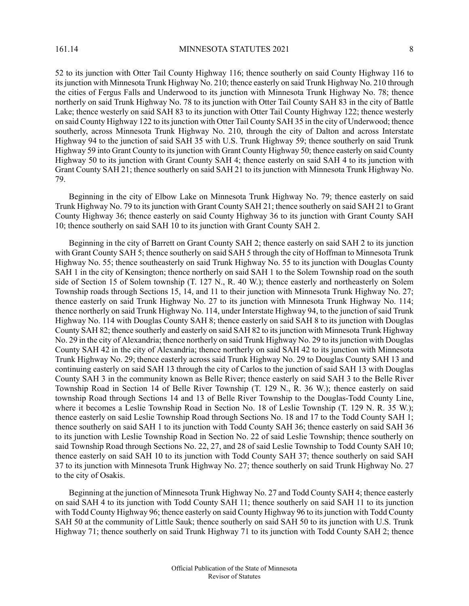52 to its junction with Otter Tail County Highway 116; thence southerly on said County Highway 116 to its junction with Minnesota Trunk Highway No. 210; thence easterly on said Trunk Highway No. 210 through the cities of Fergus Falls and Underwood to its junction with Minnesota Trunk Highway No. 78; thence northerly on said Trunk Highway No. 78 to its junction with Otter Tail County SAH 83 in the city of Battle Lake; thence westerly on said SAH 83 to its junction with Otter Tail County Highway 122; thence westerly on said County Highway 122 to itsjunction with Otter Tail County SAH 35 in the city of Underwood; thence southerly, across Minnesota Trunk Highway No. 210, through the city of Dalton and across Interstate Highway 94 to the junction of said SAH 35 with U.S. Trunk Highway 59; thence southerly on said Trunk Highway 59 into Grant County to itsjunction with Grant County Highway 50; thence easterly on said County Highway 50 to its junction with Grant County SAH 4; thence easterly on said SAH 4 to its junction with Grant County SAH 21; thence southerly on said SAH 21 to its junction with Minnesota Trunk Highway No. 79.

Beginning in the city of Elbow Lake on Minnesota Trunk Highway No. 79; thence easterly on said Trunk Highway No. 79 to its junction with Grant County SAH 21; thence southerly on said SAH 21 to Grant County Highway 36; thence easterly on said County Highway 36 to its junction with Grant County SAH 10; thence southerly on said SAH 10 to its junction with Grant County SAH 2.

Beginning in the city of Barrett on Grant County SAH 2; thence easterly on said SAH 2 to its junction with Grant County SAH 5; thence southerly on said SAH 5 through the city of Hoffman to Minnesota Trunk Highway No. 55; thence southeasterly on said Trunk Highway No. 55 to its junction with Douglas County SAH 1 in the city of Kensington; thence northerly on said SAH 1 to the Solem Township road on the south side of Section 15 of Solem township (T. 127 N., R. 40 W.); thence easterly and northeasterly on Solem Township roads through Sections 15, 14, and 11 to their junction with Minnesota Trunk Highway No. 27; thence easterly on said Trunk Highway No. 27 to its junction with Minnesota Trunk Highway No. 114; thence northerly on said Trunk Highway No. 114, under Interstate Highway 94, to the junction of said Trunk Highway No. 114 with Douglas County SAH 8; thence easterly on said SAH 8 to its junction with Douglas County SAH 82; thence southerly and easterly on said SAH 82 to itsjunction with Minnesota Trunk Highway No. 29 in the city of Alexandria; thence northerly on said Trunk Highway No. 29 to itsjunction with Douglas County SAH 42 in the city of Alexandria; thence northerly on said SAH 42 to its junction with Minnesota Trunk Highway No. 29; thence easterly across said Trunk Highway No. 29 to Douglas County SAH 13 and continuing easterly on said SAH 13 through the city of Carlos to the junction of said SAH 13 with Douglas County SAH 3 in the community known as Belle River; thence easterly on said SAH 3 to the Belle River Township Road in Section 14 of Belle River Township (T. 129 N., R. 36 W.); thence easterly on said township Road through Sections 14 and 13 of Belle River Township to the Douglas-Todd County Line, where it becomes a Leslie Township Road in Section No. 18 of Leslie Township (T. 129 N. R. 35 W.); thence easterly on said Leslie Township Road through Sections No. 18 and 17 to the Todd County SAH 1; thence southerly on said SAH 1 to its junction with Todd County SAH 36; thence easterly on said SAH 36 to its junction with Leslie Township Road in Section No. 22 of said Leslie Township; thence southerly on said Township Road through Sections No. 22, 27, and 28 of said Leslie Township to Todd County SAH 10; thence easterly on said SAH 10 to its junction with Todd County SAH 37; thence southerly on said SAH 37 to its junction with Minnesota Trunk Highway No. 27; thence southerly on said Trunk Highway No. 27 to the city of Osakis.

Beginning at the junction of Minnesota Trunk Highway No. 27 and Todd County SAH 4; thence easterly on said SAH 4 to its junction with Todd County SAH 11; thence southerly on said SAH 11 to its junction with Todd County Highway 96; thence easterly on said County Highway 96 to itsjunction with Todd County SAH 50 at the community of Little Sauk; thence southerly on said SAH 50 to its junction with U.S. Trunk Highway 71; thence southerly on said Trunk Highway 71 to its junction with Todd County SAH 2; thence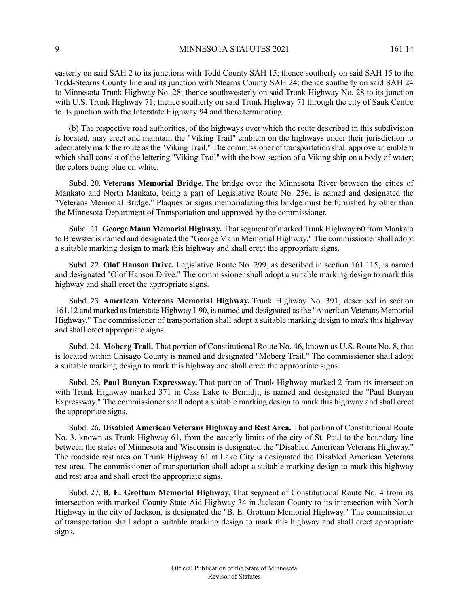easterly on said SAH 2 to its junctions with Todd County SAH 15; thence southerly on said SAH 15 to the Todd-Stearns County line and its junction with Stearns County SAH 24; thence southerly on said SAH 24 to Minnesota Trunk Highway No. 28; thence southwesterly on said Trunk Highway No. 28 to its junction with U.S. Trunk Highway 71; thence southerly on said Trunk Highway 71 through the city of Sauk Centre to its junction with the Interstate Highway 94 and there terminating.

(b) The respective road authorities, of the highways over which the route described in this subdivision is located, may erect and maintain the "Viking Trail" emblem on the highways under their jurisdiction to adequately mark the route as the "Viking Trail." The commissioner of transportation shall approve an emblem which shall consist of the lettering "Viking Trail" with the bow section of a Viking ship on a body of water; the colors being blue on white.

Subd. 20. **Veterans Memorial Bridge.** The bridge over the Minnesota River between the cities of Mankato and North Mankato, being a part of Legislative Route No. 256, is named and designated the "Veterans Memorial Bridge." Plaques or signs memorializing this bridge must be furnished by other than the Minnesota Department of Transportation and approved by the commissioner.

Subd. 21. **George Mann Memorial Highway.** Thatsegment of marked Trunk Highway 60 from Mankato to Brewster is named and designated the "George Mann Memorial Highway." The commissioner shall adopt a suitable marking design to mark this highway and shall erect the appropriate signs.

Subd. 22. **Olof Hanson Drive.** Legislative Route No. 299, as described in section 161.115, is named and designated "Olof Hanson Drive." The commissioner shall adopt a suitable marking design to mark this highway and shall erect the appropriate signs.

Subd. 23. **American Veterans Memorial Highway.** Trunk Highway No. 391, described in section 161.12 and marked as Interstate Highway I-90, is named and designated as the "American Veterans Memorial" Highway." The commissioner of transportation shall adopt a suitable marking design to mark this highway and shall erect appropriate signs.

Subd. 24. **Moberg Trail.** That portion of Constitutional Route No. 46, known as U.S. Route No. 8, that is located within Chisago County is named and designated "Moberg Trail." The commissioner shall adopt a suitable marking design to mark this highway and shall erect the appropriate signs.

Subd. 25. **Paul Bunyan Expressway.** That portion of Trunk Highway marked 2 from its intersection with Trunk Highway marked 371 in Cass Lake to Bemidji, is named and designated the "Paul Bunyan Expressway." The commissioner shall adopt a suitable marking design to mark this highway and shall erect the appropriate signs.

Subd. 26. **Disabled American Veterans Highway and Rest Area.** That portion of Constitutional Route No. 3, known as Trunk Highway 61, from the easterly limits of the city of St. Paul to the boundary line between the states of Minnesota and Wisconsin is designated the "Disabled American Veterans Highway." The roadside rest area on Trunk Highway 61 at Lake City is designated the Disabled American Veterans rest area. The commissioner of transportation shall adopt a suitable marking design to mark this highway and rest area and shall erect the appropriate signs.

Subd. 27. **B. E. Grottum Memorial Highway.** That segment of Constitutional Route No. 4 from its intersection with marked County State-Aid Highway 34 in Jackson County to its intersection with North Highway in the city of Jackson, is designated the "B. E. Grottum Memorial Highway." The commissioner of transportation shall adopt a suitable marking design to mark this highway and shall erect appropriate signs.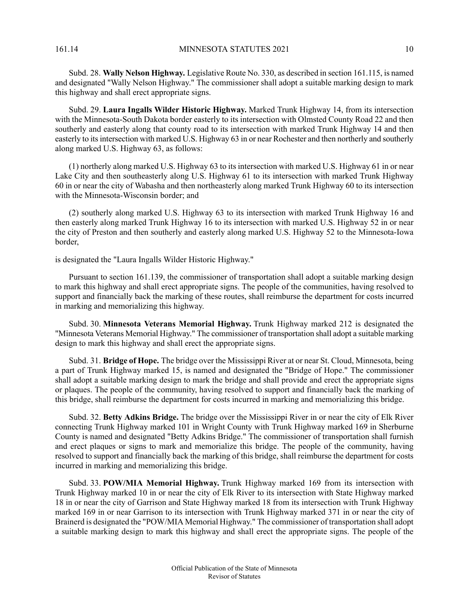161.14 **MINNESOTA STATUTES 2021** 10

Subd. 28. **Wally Nelson Highway.** Legislative Route No. 330, as described in section 161.115, is named and designated "Wally Nelson Highway." The commissioner shall adopt a suitable marking design to mark this highway and shall erect appropriate signs.

Subd. 29. **Laura Ingalls Wilder Historic Highway.** Marked Trunk Highway 14, from its intersection with the Minnesota-South Dakota border easterly to its intersection with Olmsted County Road 22 and then southerly and easterly along that county road to its intersection with marked Trunk Highway 14 and then easterly to its intersection with marked U.S. Highway 63 in or near Rochester and then northerly and southerly along marked U.S. Highway 63, as follows:

(1) northerly along marked U.S. Highway 63 to its intersection with marked U.S. Highway 61 in or near Lake City and then southeasterly along U.S. Highway 61 to its intersection with marked Trunk Highway 60 in or near the city of Wabasha and then northeasterly along marked Trunk Highway 60 to its intersection with the Minnesota-Wisconsin border; and

(2) southerly along marked U.S. Highway 63 to its intersection with marked Trunk Highway 16 and then easterly along marked Trunk Highway 16 to its intersection with marked U.S. Highway 52 in or near the city of Preston and then southerly and easterly along marked U.S. Highway 52 to the Minnesota-Iowa border,

is designated the "Laura Ingalls Wilder Historic Highway."

Pursuant to section 161.139, the commissioner of transportation shall adopt a suitable marking design to mark this highway and shall erect appropriate signs. The people of the communities, having resolved to support and financially back the marking of these routes, shall reimburse the department for costs incurred in marking and memorializing this highway.

Subd. 30. **Minnesota Veterans Memorial Highway.** Trunk Highway marked 212 is designated the "Minnesota Veterans Memorial Highway." The commissioner of transportation shall adopt a suitable marking design to mark this highway and shall erect the appropriate signs.

Subd. 31. **Bridge of Hope.** The bridge over the Mississippi River at or near St. Cloud, Minnesota, being a part of Trunk Highway marked 15, is named and designated the "Bridge of Hope." The commissioner shall adopt a suitable marking design to mark the bridge and shall provide and erect the appropriate signs or plaques. The people of the community, having resolved to support and financially back the marking of this bridge, shall reimburse the department for costs incurred in marking and memorializing this bridge.

Subd. 32. **Betty Adkins Bridge.** The bridge over the Mississippi River in or near the city of Elk River connecting Trunk Highway marked 101 in Wright County with Trunk Highway marked 169 in Sherburne County is named and designated "Betty Adkins Bridge." The commissioner of transportation shall furnish and erect plaques or signs to mark and memorialize this bridge. The people of the community, having resolved to support and financially back the marking of this bridge, shall reimburse the department for costs incurred in marking and memorializing this bridge.

Subd. 33. **POW/MIA Memorial Highway.** Trunk Highway marked 169 from its intersection with Trunk Highway marked 10 in or near the city of Elk River to its intersection with State Highway marked 18 in or near the city of Garrison and State Highway marked 18 from its intersection with Trunk Highway marked 169 in or near Garrison to its intersection with Trunk Highway marked 371 in or near the city of Brainerd is designated the "POW/MIA Memorial Highway." The commissioner of transportation shall adopt a suitable marking design to mark this highway and shall erect the appropriate signs. The people of the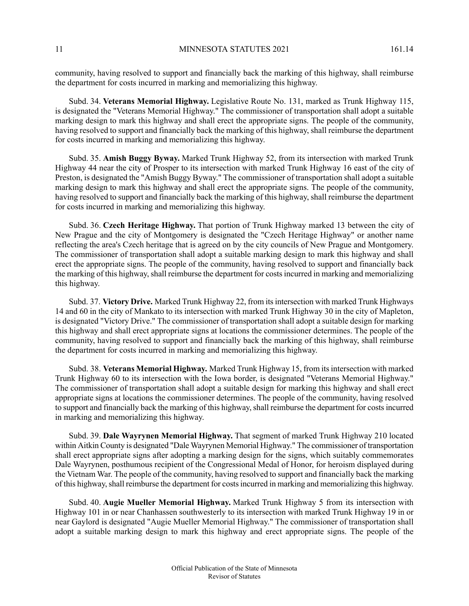11 MINNESOTA STATUTES 2021 161.14

community, having resolved to support and financially back the marking of this highway, shall reimburse the department for costs incurred in marking and memorializing this highway.

Subd. 34. **Veterans Memorial Highway.** Legislative Route No. 131, marked as Trunk Highway 115, is designated the "Veterans Memorial Highway." The commissioner of transportation shall adopt a suitable marking design to mark this highway and shall erect the appropriate signs. The people of the community, having resolved to support and financially back the marking of this highway, shall reimburse the department for costs incurred in marking and memorializing this highway.

Subd. 35. **Amish Buggy Byway.** Marked Trunk Highway 52, from its intersection with marked Trunk Highway 44 near the city of Prosper to its intersection with marked Trunk Highway 16 east of the city of Preston, is designated the "Amish Buggy Byway." The commissioner of transportation shall adopt a suitable marking design to mark this highway and shall erect the appropriate signs. The people of the community, having resolved to support and financially back the marking of this highway, shall reimburse the department for costs incurred in marking and memorializing this highway.

Subd. 36. **Czech Heritage Highway.** That portion of Trunk Highway marked 13 between the city of New Prague and the city of Montgomery is designated the "Czech Heritage Highway" or another name reflecting the area's Czech heritage that is agreed on by the city councils of New Prague and Montgomery. The commissioner of transportation shall adopt a suitable marking design to mark this highway and shall erect the appropriate signs. The people of the community, having resolved to support and financially back the marking of this highway, shall reimburse the department for costs incurred in marking and memorializing this highway.

Subd. 37. **Victory Drive.** Marked Trunk Highway 22, from itsintersection with marked Trunk Highways 14 and 60 in the city of Mankato to its intersection with marked Trunk Highway 30 in the city of Mapleton, is designated "Victory Drive." The commissioner of transportation shall adopt a suitable design for marking this highway and shall erect appropriate signs at locations the commissioner determines. The people of the community, having resolved to support and financially back the marking of this highway, shall reimburse the department for costs incurred in marking and memorializing this highway.

Subd. 38. **Veterans Memorial Highway.** Marked Trunk Highway 15, from itsintersection with marked Trunk Highway 60 to its intersection with the Iowa border, is designated "Veterans Memorial Highway." The commissioner of transportation shall adopt a suitable design for marking this highway and shall erect appropriate signs at locations the commissioner determines. The people of the community, having resolved to support and financially back the marking of this highway, shall reimburse the department for costs incurred in marking and memorializing this highway.

Subd. 39. **Dale Wayrynen Memorial Highway.** That segment of marked Trunk Highway 210 located within Aitkin County is designated "Dale Wayrynen Memorial Highway." The commissioner of transportation shall erect appropriate signs after adopting a marking design for the signs, which suitably commemorates Dale Wayrynen, posthumous recipient of the Congressional Medal of Honor, for heroism displayed during the Vietnam War. The people of the community, having resolved to support and financially back the marking of this highway, shall reimburse the department for costs incurred in marking and memorializing this highway.

Subd. 40. **Augie Mueller Memorial Highway.** Marked Trunk Highway 5 from its intersection with Highway 101 in or near Chanhassen southwesterly to its intersection with marked Trunk Highway 19 in or near Gaylord is designated "Augie Mueller Memorial Highway." The commissioner of transportation shall adopt a suitable marking design to mark this highway and erect appropriate signs. The people of the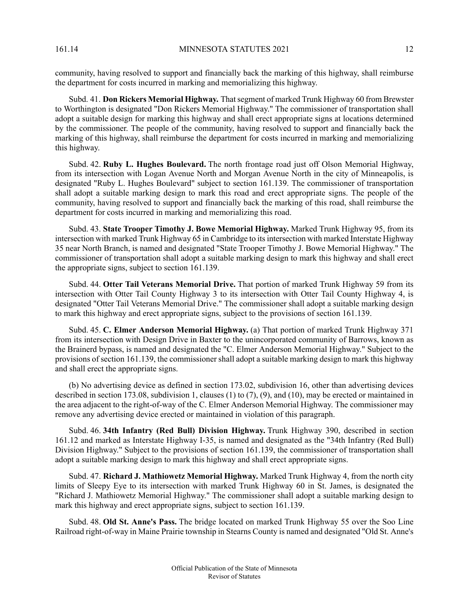community, having resolved to support and financially back the marking of this highway, shall reimburse the department for costs incurred in marking and memorializing this highway.

Subd. 41. **Don Rickers Memorial Highway.** Thatsegment of marked Trunk Highway 60 from Brewster to Worthington is designated "Don Rickers Memorial Highway." The commissioner of transportation shall adopt a suitable design for marking this highway and shall erect appropriate signs at locations determined by the commissioner. The people of the community, having resolved to support and financially back the marking of this highway, shall reimburse the department for costs incurred in marking and memorializing this highway.

Subd. 42. **Ruby L. Hughes Boulevard.** The north frontage road just off Olson Memorial Highway, from its intersection with Logan Avenue North and Morgan Avenue North in the city of Minneapolis, is designated "Ruby L. Hughes Boulevard" subject to section 161.139. The commissioner of transportation shall adopt a suitable marking design to mark this road and erect appropriate signs. The people of the community, having resolved to support and financially back the marking of this road, shall reimburse the department for costs incurred in marking and memorializing this road.

Subd. 43. **State Trooper Timothy J. Bowe Memorial Highway.** Marked Trunk Highway 95, from its intersection with marked Trunk Highway 65 in Cambridge to itsintersection with marked Interstate Highway 35 near North Branch, is named and designated "State Trooper Timothy J. Bowe Memorial Highway." The commissioner of transportation shall adopt a suitable marking design to mark this highway and shall erect the appropriate signs, subject to section 161.139.

Subd. 44. **Otter Tail Veterans Memorial Drive.** That portion of marked Trunk Highway 59 from its intersection with Otter Tail County Highway 3 to its intersection with Otter Tail County Highway 4, is designated "Otter Tail Veterans Memorial Drive." The commissioner shall adopt a suitable marking design to mark this highway and erect appropriate signs, subject to the provisions of section 161.139.

Subd. 45. **C. Elmer Anderson Memorial Highway.** (a) That portion of marked Trunk Highway 371 from its intersection with Design Drive in Baxter to the unincorporated community of Barrows, known as the Brainerd bypass, is named and designated the "C. Elmer Anderson Memorial Highway." Subject to the provisions of section 161.139, the commissioner shall adopt a suitable marking design to mark this highway and shall erect the appropriate signs.

(b) No advertising device as defined in section 173.02, subdivision 16, other than advertising devices described in section 173.08, subdivision 1, clauses (1) to (7), (9), and (10), may be erected or maintained in the area adjacent to the right-of-way of the C. Elmer Anderson Memorial Highway. The commissioner may remove any advertising device erected or maintained in violation of this paragraph.

Subd. 46. **34th Infantry (Red Bull) Division Highway.** Trunk Highway 390, described in section 161.12 and marked as Interstate Highway I-35, is named and designated as the "34th Infantry (Red Bull) Division Highway." Subject to the provisions of section 161.139, the commissioner of transportation shall adopt a suitable marking design to mark this highway and shall erect appropriate signs.

Subd. 47. **Richard J. Mathiowetz Memorial Highway.** Marked Trunk Highway 4, from the north city limits of Sleepy Eye to its intersection with marked Trunk Highway 60 in St. James, is designated the "Richard J. Mathiowetz Memorial Highway." The commissioner shall adopt a suitable marking design to mark this highway and erect appropriate signs, subject to section 161.139.

Subd. 48. **Old St. Anne's Pass.** The bridge located on marked Trunk Highway 55 over the Soo Line Railroad right-of-way in Maine Prairie township in Stearns County is named and designated "Old St. Anne's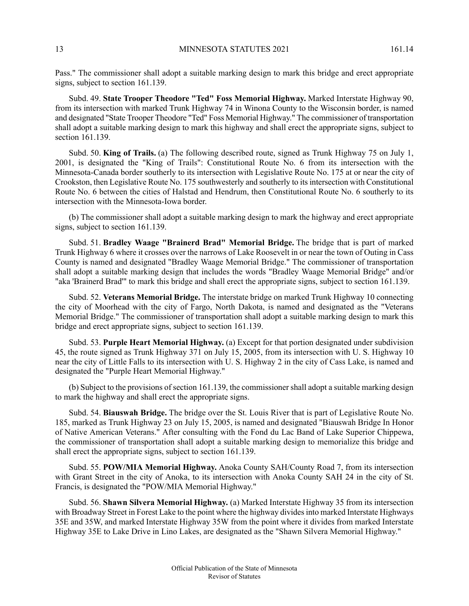Pass." The commissioner shall adopt a suitable marking design to mark this bridge and erect appropriate signs, subject to section 161.139.

Subd. 49. **State Trooper Theodore "Ted" Foss Memorial Highway.** Marked Interstate Highway 90, from its intersection with marked Trunk Highway 74 in Winona County to the Wisconsin border, is named and designated "State Trooper Theodore "Ted" Foss Memorial Highway." The commissioner of transportation shall adopt a suitable marking design to mark this highway and shall erect the appropriate signs, subject to section 161.139.

Subd. 50. **King of Trails.** (a) The following described route, signed as Trunk Highway 75 on July 1, 2001, is designated the "King of Trails": Constitutional Route No. 6 from its intersection with the Minnesota-Canada border southerly to its intersection with Legislative Route No. 175 at or near the city of Crookston, then Legislative Route No. 175 southwesterly and southerly to itsintersection with Constitutional Route No. 6 between the cities of Halstad and Hendrum, then Constitutional Route No. 6 southerly to its intersection with the Minnesota-Iowa border.

(b) The commissioner shall adopt a suitable marking design to mark the highway and erect appropriate signs, subject to section 161.139.

Subd. 51. **Bradley Waage "Brainerd Brad" Memorial Bridge.** The bridge that is part of marked Trunk Highway 6 where it crosses over the narrows of Lake Roosevelt in or near the town of Outing in Cass County is named and designated "Bradley Waage Memorial Bridge." The commissioner of transportation shall adopt a suitable marking design that includes the words "Bradley Waage Memorial Bridge" and/or "aka 'Brainerd Brad'" to mark this bridge and shall erect the appropriate signs, subject to section 161.139.

Subd. 52. **Veterans Memorial Bridge.** The interstate bridge on marked Trunk Highway 10 connecting the city of Moorhead with the city of Fargo, North Dakota, is named and designated as the "Veterans Memorial Bridge." The commissioner of transportation shall adopt a suitable marking design to mark this bridge and erect appropriate signs, subject to section 161.139.

Subd. 53. **Purple Heart Memorial Highway.** (a) Except for that portion designated under subdivision 45, the route signed as Trunk Highway 371 on July 15, 2005, from its intersection with U. S. Highway 10 near the city of Little Falls to its intersection with U. S. Highway 2 in the city of Cass Lake, is named and designated the "Purple Heart Memorial Highway."

(b) Subject to the provisions of section 161.139, the commissioner shall adopt a suitable marking design to mark the highway and shall erect the appropriate signs.

Subd. 54. **Biauswah Bridge.** The bridge over the St. Louis River that is part of Legislative Route No. 185, marked as Trunk Highway 23 on July 15, 2005, is named and designated "Biauswah Bridge In Honor of Native American Veterans." After consulting with the Fond du Lac Band of Lake Superior Chippewa, the commissioner of transportation shall adopt a suitable marking design to memorialize this bridge and shall erect the appropriate signs, subject to section 161.139.

Subd. 55. **POW/MIA Memorial Highway.** Anoka County SAH/County Road 7, from its intersection with Grant Street in the city of Anoka, to its intersection with Anoka County SAH 24 in the city of St. Francis, is designated the "POW/MIA Memorial Highway."

Subd. 56. **Shawn Silvera Memorial Highway.** (a) Marked Interstate Highway 35 from its intersection with Broadway Street in Forest Lake to the point where the highway divides into marked Interstate Highways 35E and 35W, and marked Interstate Highway 35W from the point where it divides from marked Interstate Highway 35E to Lake Drive in Lino Lakes, are designated as the "Shawn Silvera Memorial Highway."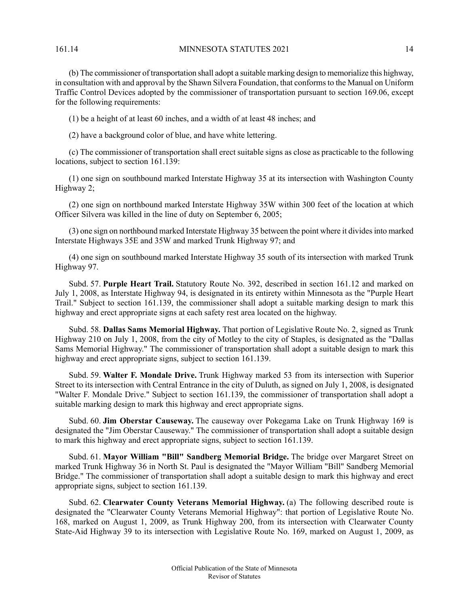161.14 **MINNESOTA STATUTES 2021** 14

(b) The commissioner of transportation shall adopt a suitable marking design to memorialize this highway, in consultation with and approval by the Shawn Silvera Foundation, that conformsto the Manual on Uniform Traffic Control Devices adopted by the commissioner of transportation pursuant to section 169.06, except for the following requirements:

(1) be a height of at least 60 inches, and a width of at least 48 inches; and

(2) have a background color of blue, and have white lettering.

(c) The commissioner of transportation shall erect suitable signs as close as practicable to the following locations, subject to section 161.139:

(1) one sign on southbound marked Interstate Highway 35 at its intersection with Washington County Highway 2;

(2) one sign on northbound marked Interstate Highway 35W within 300 feet of the location at which Officer Silvera was killed in the line of duty on September 6, 2005;

(3) one sign on northbound marked Interstate Highway 35 between the point where it dividesinto marked Interstate Highways 35E and 35W and marked Trunk Highway 97; and

(4) one sign on southbound marked Interstate Highway 35 south of its intersection with marked Trunk Highway 97.

Subd. 57. **Purple Heart Trail.** Statutory Route No. 392, described in section 161.12 and marked on July 1, 2008, as Interstate Highway 94, is designated in its entirety within Minnesota as the "Purple Heart Trail." Subject to section 161.139, the commissioner shall adopt a suitable marking design to mark this highway and erect appropriate signs at each safety rest area located on the highway.

Subd. 58. **Dallas Sams Memorial Highway.** That portion of Legislative Route No. 2, signed as Trunk Highway 210 on July 1, 2008, from the city of Motley to the city of Staples, is designated as the "Dallas Sams Memorial Highway." The commissioner of transportation shall adopt a suitable design to mark this highway and erect appropriate signs, subject to section 161.139.

Subd. 59. **Walter F. Mondale Drive.** Trunk Highway marked 53 from its intersection with Superior Street to its intersection with Central Entrance in the city of Duluth, as signed on July 1, 2008, is designated "Walter F. Mondale Drive." Subject to section 161.139, the commissioner of transportation shall adopt a suitable marking design to mark this highway and erect appropriate signs.

Subd. 60. **Jim Oberstar Causeway.** The causeway over Pokegama Lake on Trunk Highway 169 is designated the "Jim Oberstar Causeway." The commissioner of transportation shall adopt a suitable design to mark this highway and erect appropriate signs, subject to section 161.139.

Subd. 61. **Mayor William "Bill" Sandberg Memorial Bridge.** The bridge over Margaret Street on marked Trunk Highway 36 in North St. Paul is designated the "Mayor William "Bill" Sandberg Memorial Bridge." The commissioner of transportation shall adopt a suitable design to mark this highway and erect appropriate signs, subject to section 161.139.

Subd. 62. **Clearwater County Veterans Memorial Highway.** (a) The following described route is designated the "Clearwater County Veterans Memorial Highway": that portion of Legislative Route No. 168, marked on August 1, 2009, as Trunk Highway 200, from its intersection with Clearwater County State-Aid Highway 39 to its intersection with Legislative Route No. 169, marked on August 1, 2009, as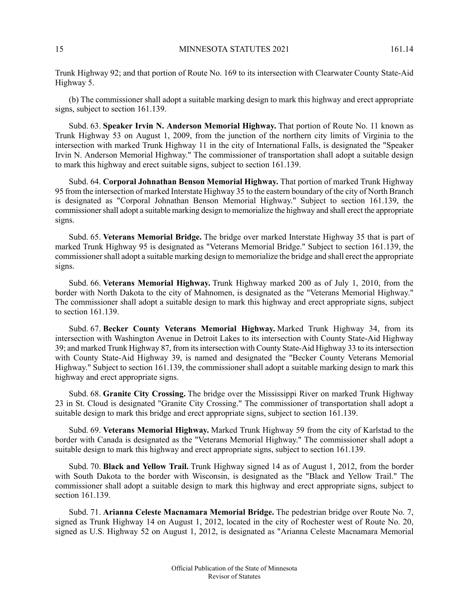Trunk Highway 92; and that portion of Route No. 169 to its intersection with Clearwater County State-Aid Highway 5.

(b) The commissioner shall adopt a suitable marking design to mark this highway and erect appropriate signs, subject to section 161.139.

Subd. 63. **Speaker Irvin N. Anderson Memorial Highway.** That portion of Route No. 11 known as Trunk Highway 53 on August 1, 2009, from the junction of the northern city limits of Virginia to the intersection with marked Trunk Highway 11 in the city of International Falls, is designated the "Speaker Irvin N. Anderson Memorial Highway." The commissioner of transportation shall adopt a suitable design to mark this highway and erect suitable signs, subject to section 161.139.

Subd. 64. **Corporal Johnathan Benson Memorial Highway.** That portion of marked Trunk Highway 95 from the intersection of marked Interstate Highway 35 to the eastern boundary of the city of North Branch is designated as "Corporal Johnathan Benson Memorial Highway." Subject to section 161.139, the commissioner shall adopt a suitable marking design to memorialize the highway and shall erect the appropriate signs.

Subd. 65. **Veterans Memorial Bridge.** The bridge over marked Interstate Highway 35 that is part of marked Trunk Highway 95 is designated as "Veterans Memorial Bridge." Subject to section 161.139, the commissioner shall adopt a suitable marking design to memorialize the bridge and shall erect the appropriate signs.

Subd. 66. **Veterans Memorial Highway.** Trunk Highway marked 200 as of July 1, 2010, from the border with North Dakota to the city of Mahnomen, is designated as the "Veterans Memorial Highway." The commissioner shall adopt a suitable design to mark this highway and erect appropriate signs, subject to section 161.139.

Subd. 67. **Becker County Veterans Memorial Highway.** Marked Trunk Highway 34, from its intersection with Washington Avenue in Detroit Lakes to its intersection with County State-Aid Highway 39; and marked Trunk Highway 87, from its intersection with County State-Aid Highway 33 to its intersection with County State-Aid Highway 39, is named and designated the "Becker County Veterans Memorial Highway." Subject to section 161.139, the commissioner shall adopt a suitable marking design to mark this highway and erect appropriate signs.

Subd. 68. **Granite City Crossing.** The bridge over the Mississippi River on marked Trunk Highway 23 in St. Cloud is designated "Granite City Crossing." The commissioner of transportation shall adopt a suitable design to mark this bridge and erect appropriate signs, subject to section 161.139.

Subd. 69. **Veterans Memorial Highway.** Marked Trunk Highway 59 from the city of Karlstad to the border with Canada is designated as the "Veterans Memorial Highway." The commissioner shall adopt a suitable design to mark this highway and erect appropriate signs, subject to section 161.139.

Subd. 70. **Black and Yellow Trail.** Trunk Highway signed 14 as of August 1, 2012, from the border with South Dakota to the border with Wisconsin, is designated as the "Black and Yellow Trail." The commissioner shall adopt a suitable design to mark this highway and erect appropriate signs, subject to section 161.139.

Subd. 71. **Arianna Celeste Macnamara Memorial Bridge.** The pedestrian bridge over Route No. 7, signed as Trunk Highway 14 on August 1, 2012, located in the city of Rochester west of Route No. 20, signed as U.S. Highway 52 on August 1, 2012, is designated as "Arianna Celeste Macnamara Memorial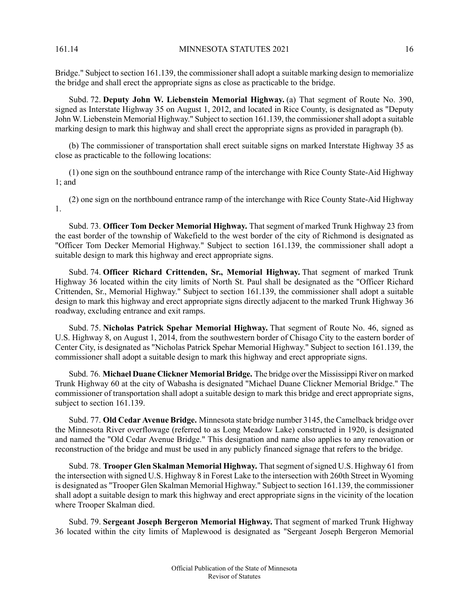Bridge." Subject to section 161.139, the commissioner shall adopt a suitable marking design to memorialize the bridge and shall erect the appropriate signs as close as practicable to the bridge.

Subd. 72. **Deputy John W. Liebenstein Memorial Highway.** (a) That segment of Route No. 390, signed as Interstate Highway 35 on August 1, 2012, and located in Rice County, is designated as "Deputy John W. Liebenstein Memorial Highway." Subject to section 161.139, the commissionershall adopt a suitable marking design to mark this highway and shall erect the appropriate signs as provided in paragraph (b).

(b) The commissioner of transportation shall erect suitable signs on marked Interstate Highway 35 as close as practicable to the following locations:

(1) one sign on the southbound entrance ramp of the interchange with Rice County State-Aid Highway 1; and

(2) one sign on the northbound entrance ramp of the interchange with Rice County State-Aid Highway 1.

Subd. 73. **Officer Tom Decker Memorial Highway.** That segment of marked Trunk Highway 23 from the east border of the township of Wakefield to the west border of the city of Richmond is designated as "Officer Tom Decker Memorial Highway." Subject to section 161.139, the commissioner shall adopt a suitable design to mark this highway and erect appropriate signs.

Subd. 74. **Officer Richard Crittenden, Sr., Memorial Highway.** That segment of marked Trunk Highway 36 located within the city limits of North St. Paul shall be designated as the "Officer Richard Crittenden, Sr., Memorial Highway." Subject to section 161.139, the commissioner shall adopt a suitable design to mark this highway and erect appropriate signs directly adjacent to the marked Trunk Highway 36 roadway, excluding entrance and exit ramps.

Subd. 75. **Nicholas Patrick Spehar Memorial Highway.** That segment of Route No. 46, signed as U.S. Highway 8, on August 1, 2014, from the southwestern border of Chisago City to the eastern border of Center City, is designated as "Nicholas Patrick Spehar Memorial Highway." Subject to section 161.139, the commissioner shall adopt a suitable design to mark this highway and erect appropriate signs.

Subd. 76. **Michael Duane Clickner Memorial Bridge.** The bridge over the Mississippi River on marked Trunk Highway 60 at the city of Wabasha is designated "Michael Duane Clickner Memorial Bridge." The commissioner of transportation shall adopt a suitable design to mark this bridge and erect appropriate signs, subject to section 161.139.

Subd. 77. **Old Cedar Avenue Bridge.** Minnesota state bridge number 3145, the Camelback bridge over the Minnesota River overflowage (referred to as Long Meadow Lake) constructed in 1920, is designated and named the "Old Cedar Avenue Bridge." This designation and name also applies to any renovation or reconstruction of the bridge and must be used in any publicly financed signage that refers to the bridge.

Subd. 78. **Trooper Glen Skalman Memorial Highway.** Thatsegment ofsigned U.S. Highway 61 from the intersection with signed U.S. Highway 8 in Forest Lake to the intersection with 260th Street in Wyoming is designated as "Trooper Glen Skalman Memorial Highway." Subject to section 161.139, the commissioner shall adopt a suitable design to mark this highway and erect appropriate signs in the vicinity of the location where Trooper Skalman died.

Subd. 79. **Sergeant Joseph Bergeron Memorial Highway.** That segment of marked Trunk Highway 36 located within the city limits of Maplewood is designated as "Sergeant Joseph Bergeron Memorial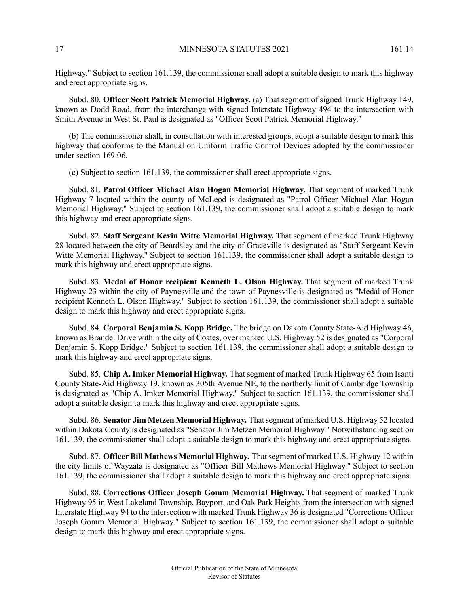Highway." Subject to section 161.139, the commissioner shall adopt a suitable design to mark this highway and erect appropriate signs.

Subd. 80. **Officer Scott Patrick Memorial Highway.** (a) That segment of signed Trunk Highway 149, known as Dodd Road, from the interchange with signed Interstate Highway 494 to the intersection with Smith Avenue in West St. Paul is designated as "Officer Scott Patrick Memorial Highway."

(b) The commissioner shall, in consultation with interested groups, adopt a suitable design to mark this highway that conforms to the Manual on Uniform Traffic Control Devices adopted by the commissioner under section 169.06.

(c) Subject to section 161.139, the commissioner shall erect appropriate signs.

Subd. 81. **Patrol Officer Michael Alan Hogan Memorial Highway.** That segment of marked Trunk Highway 7 located within the county of McLeod is designated as "Patrol Officer Michael Alan Hogan Memorial Highway." Subject to section 161.139, the commissioner shall adopt a suitable design to mark this highway and erect appropriate signs.

Subd. 82. **Staff Sergeant Kevin Witte Memorial Highway.** That segment of marked Trunk Highway 28 located between the city of Beardsley and the city of Graceville is designated as "Staff Sergeant Kevin Witte Memorial Highway." Subject to section 161.139, the commissioner shall adopt a suitable design to mark this highway and erect appropriate signs.

Subd. 83. **Medal of Honor recipient Kenneth L. Olson Highway.** That segment of marked Trunk Highway 23 within the city of Paynesville and the town of Paynesville is designated as "Medal of Honor recipient Kenneth L. Olson Highway." Subject to section 161.139, the commissioner shall adopt a suitable design to mark this highway and erect appropriate signs.

Subd. 84. **Corporal Benjamin S. Kopp Bridge.** The bridge on Dakota County State-Aid Highway 46, known as Brandel Drive within the city of Coates, over marked U.S. Highway 52 is designated as "Corporal Benjamin S. Kopp Bridge." Subject to section 161.139, the commissioner shall adopt a suitable design to mark this highway and erect appropriate signs.

Subd. 85. **Chip A. Imker Memorial Highway.** That segment of marked Trunk Highway 65 from Isanti County State-Aid Highway 19, known as 305th Avenue NE, to the northerly limit of Cambridge Township is designated as "Chip A. Imker Memorial Highway." Subject to section 161.139, the commissioner shall adopt a suitable design to mark this highway and erect appropriate signs.

Subd. 86. **Senator Jim Metzen Memorial Highway.** Thatsegment of marked U.S. Highway 52 located within Dakota County is designated as "Senator Jim Metzen Memorial Highway." Notwithstanding section 161.139, the commissioner shall adopt a suitable design to mark this highway and erect appropriate signs.

Subd. 87. **Officer Bill Mathews Memorial Highway.** Thatsegment of marked U.S. Highway 12 within the city limits of Wayzata is designated as "Officer Bill Mathews Memorial Highway." Subject to section 161.139, the commissioner shall adopt a suitable design to mark this highway and erect appropriate signs.

Subd. 88. **Corrections Officer Joseph Gomm Memorial Highway.** That segment of marked Trunk Highway 95 in West Lakeland Township, Bayport, and Oak Park Heights from the intersection with signed Interstate Highway 94 to the intersection with marked Trunk Highway 36 is designated "Corrections Officer Joseph Gomm Memorial Highway." Subject to section 161.139, the commissioner shall adopt a suitable design to mark this highway and erect appropriate signs.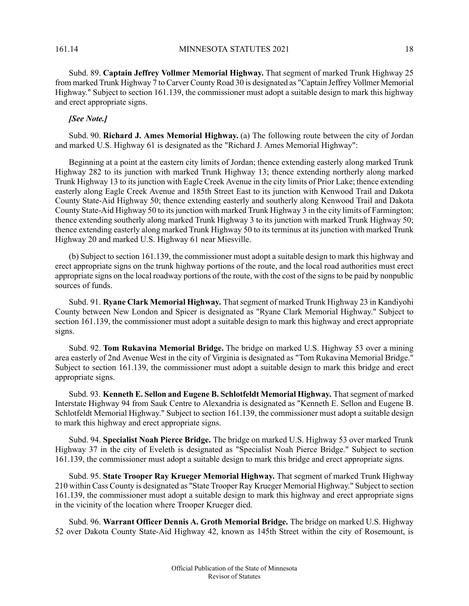Subd. 89. **Captain Jeffrey Vollmer Memorial Highway.** That segment of marked Trunk Highway 25 from marked Trunk Highway 7 to Carver County Road 30 is designated as "Captain Jeffrey Vollmer Memorial Highway." Subject to section 161.139, the commissioner must adopt a suitable design to mark this highway and erect appropriate signs.

## *[See Note.]*

Subd. 90. **Richard J. Ames Memorial Highway.** (a) The following route between the city of Jordan and marked U.S. Highway 61 is designated as the "Richard J. Ames Memorial Highway":

Beginning at a point at the eastern city limits of Jordan; thence extending easterly along marked Trunk Highway 282 to its junction with marked Trunk Highway 13; thence extending northerly along marked Trunk Highway 13 to its junction with Eagle Creek Avenue in the city limits of Prior Lake; thence extending easterly along Eagle Creek Avenue and 185th Street East to its junction with Kenwood Trail and Dakota County State-Aid Highway 50; thence extending easterly and southerly along Kenwood Trail and Dakota County State-Aid Highway 50 to its junction with marked Trunk Highway 3 in the city limits of Farmington; thence extending southerly along marked Trunk Highway 3 to its junction with marked Trunk Highway 50; thence extending easterly along marked Trunk Highway 50 to its terminus at its junction with marked Trunk Highway 20 and marked U.S. Highway 61 near Miesville.

(b) Subject to section 161.139, the commissioner must adopt a suitable design to mark this highway and erect appropriate signs on the trunk highway portions of the route, and the local road authorities must erect appropriate signs on the local roadway portions of the route, with the cost of the signsto be paid by nonpublic sources of funds.

Subd. 91. **Ryane Clark Memorial Highway.** Thatsegment of marked Trunk Highway 23 in Kandiyohi County between New London and Spicer is designated as "Ryane Clark Memorial Highway." Subject to section 161.139, the commissioner must adopt a suitable design to mark this highway and erect appropriate signs.

Subd. 92. **Tom Rukavina Memorial Bridge.** The bridge on marked U.S. Highway 53 over a mining area easterly of 2nd Avenue West in the city of Virginia is designated as "Tom Rukavina Memorial Bridge." Subject to section 161.139, the commissioner must adopt a suitable design to mark this bridge and erect appropriate signs.

Subd. 93. **Kenneth E. Sellon and Eugene B. Schlotfeldt Memorial Highway.** Thatsegment of marked Interstate Highway 94 from Sauk Centre to Alexandria is designated as "Kenneth E. Sellon and Eugene B. Schlotfeldt Memorial Highway." Subject to section 161.139, the commissioner must adopt a suitable design to mark this highway and erect appropriate signs.

Subd. 94. **Specialist Noah Pierce Bridge.** The bridge on marked U.S. Highway 53 over marked Trunk Highway 37 in the city of Eveleth is designated as "Specialist Noah Pierce Bridge." Subject to section 161.139, the commissioner must adopt a suitable design to mark this bridge and erect appropriate signs.

Subd. 95. **State Trooper Ray Krueger Memorial Highway.** That segment of marked Trunk Highway 210 within Cass County is designated as "State Trooper Ray Krueger Memorial Highway." Subject to section 161.139, the commissioner must adopt a suitable design to mark this highway and erect appropriate signs in the vicinity of the location where Trooper Krueger died.

Subd. 96. **Warrant Officer Dennis A. Groth Memorial Bridge.** The bridge on marked U.S. Highway 52 over Dakota County State-Aid Highway 42, known as 145th Street within the city of Rosemount, is